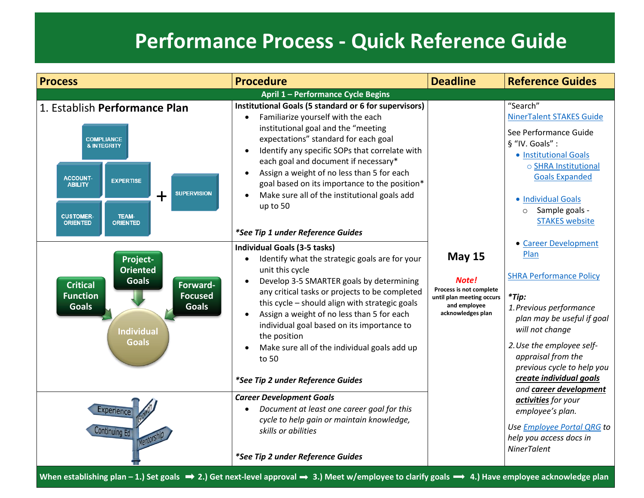## **Performance Process - Quick Reference Guide**

| <b>Process</b>                                                                                                                                                                                                                                    | <b>Procedure</b>                                                                                                                                                                                                                                                                                                                                                                                                                                                   | <b>Deadline</b>                                                                                                     | <b>Reference Guides</b>                                                                                                                                                                                                                                                                                                                                                                                                       |  |  |
|---------------------------------------------------------------------------------------------------------------------------------------------------------------------------------------------------------------------------------------------------|--------------------------------------------------------------------------------------------------------------------------------------------------------------------------------------------------------------------------------------------------------------------------------------------------------------------------------------------------------------------------------------------------------------------------------------------------------------------|---------------------------------------------------------------------------------------------------------------------|-------------------------------------------------------------------------------------------------------------------------------------------------------------------------------------------------------------------------------------------------------------------------------------------------------------------------------------------------------------------------------------------------------------------------------|--|--|
| April 1 - Performance Cycle Begins                                                                                                                                                                                                                |                                                                                                                                                                                                                                                                                                                                                                                                                                                                    |                                                                                                                     |                                                                                                                                                                                                                                                                                                                                                                                                                               |  |  |
| 1. Establish Performance Plan<br><b>COMPLIANCE</b><br><b>&amp; INTEGRITY</b><br><b>ACCOUNT-</b><br><b>EXPERTISE</b><br><b>ABILITY</b><br><b>SUPERVISION</b><br>$\bm{+}$<br><b>CUSTOMER-</b><br><b>TEAM-</b><br><b>ORIENTED</b><br><b>ORIENTED</b> | Institutional Goals (5 standard or 6 for supervisors)<br>Familiarize yourself with the each<br>institutional goal and the "meeting<br>expectations" standard for each goal<br>Identify any specific SOPs that correlate with<br>each goal and document if necessary*<br>Assign a weight of no less than 5 for each<br>goal based on its importance to the position*<br>Make sure all of the institutional goals add<br>up to 50                                    |                                                                                                                     | "Search"<br><b>NinerTalent STAKES Guide</b><br>See Performance Guide<br>§ "IV. Goals" :<br>• Institutional Goals<br>o SHRA Institutional<br><b>Goals Expanded</b><br>• Individual Goals<br>Sample goals -<br>$\circ$<br><b>STAKES</b> website                                                                                                                                                                                 |  |  |
|                                                                                                                                                                                                                                                   | *See Tip 1 under Reference Guides                                                                                                                                                                                                                                                                                                                                                                                                                                  |                                                                                                                     |                                                                                                                                                                                                                                                                                                                                                                                                                               |  |  |
| Project-<br><b>Oriented</b><br><b>Goals</b><br><b>Critical</b><br>Forward-<br><b>Focused</b><br><b>Function</b><br><b>Goals</b><br><b>Goals</b><br><b>Individual</b><br><b>Goals</b>                                                              | <b>Individual Goals (3-5 tasks)</b><br>Identify what the strategic goals are for your<br>unit this cycle<br>Develop 3-5 SMARTER goals by determining<br>any critical tasks or projects to be completed<br>this cycle - should align with strategic goals<br>Assign a weight of no less than 5 for each<br>individual goal based on its importance to<br>the position<br>Make sure all of the individual goals add up<br>to 50<br>*See Tip 2 under Reference Guides | <b>May 15</b><br>Note!<br>Process is not complete<br>until plan meeting occurs<br>and employee<br>acknowledges plan | • Career Development<br>Plan<br><b>SHRA Performance Policy</b><br>$*$ Tip:<br>1. Previous performance<br>plan may be useful if goal<br>will not change<br>2. Use the employee self-<br>appraisal from the<br>previous cycle to help you<br>create individual goals<br>and career development<br>activities for your<br>employee's plan.<br>Use <i>Employee Portal QRG</i> to<br>help you access docs in<br><b>NinerTalent</b> |  |  |
| Experience<br><b>Continuing Ed</b>                                                                                                                                                                                                                | <b>Career Development Goals</b><br>Document at least one career goal for this<br>cycle to help gain or maintain knowledge,<br>skills or abilities<br>*See Tip 2 under Reference Guides                                                                                                                                                                                                                                                                             |                                                                                                                     |                                                                                                                                                                                                                                                                                                                                                                                                                               |  |  |
| When establishing plan - 1.) Set goals $\implies$ 2.) Get next-level approval $\implies$ 3.) Meet w/employee to clarify goals $\implies$ 4.) Have employee acknowledge plan                                                                       |                                                                                                                                                                                                                                                                                                                                                                                                                                                                    |                                                                                                                     |                                                                                                                                                                                                                                                                                                                                                                                                                               |  |  |